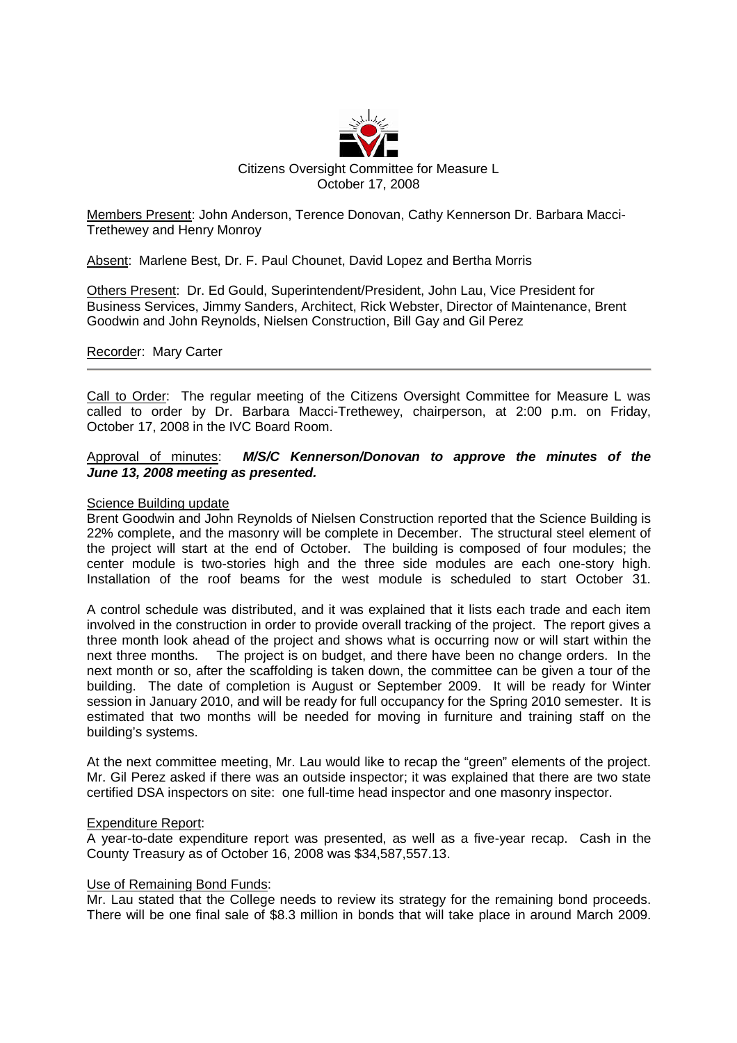

Members Present: John Anderson, Terence Donovan, Cathy Kennerson Dr. Barbara Macci-Trethewey and Henry Monroy

Absent: Marlene Best, Dr. F. Paul Chounet, David Lopez and Bertha Morris

Others Present: Dr. Ed Gould, Superintendent/President, John Lau, Vice President for Business Services, Jimmy Sanders, Architect, Rick Webster, Director of Maintenance, Brent Goodwin and John Reynolds, Nielsen Construction, Bill Gay and Gil Perez

# Recorder: Mary Carter

Call to Order: The regular meeting of the Citizens Oversight Committee for Measure L was called to order by Dr. Barbara Macci-Trethewey, chairperson, at 2:00 p.m. on Friday, October 17, 2008 in the IVC Board Room.

# Approval of minutes: *M/S/C Kennerson/Donovan to approve the minutes of the June 13, 2008 meeting as presented.*

#### Science Building update

Brent Goodwin and John Reynolds of Nielsen Construction reported that the Science Building is 22% complete, and the masonry will be complete in December. The structural steel element of the project will start at the end of October. The building is composed of four modules; the center module is two-stories high and the three side modules are each one-story high. Installation of the roof beams for the west module is scheduled to start October 31.

A control schedule was distributed, and it was explained that it lists each trade and each item involved in the construction in order to provide overall tracking of the project. The report gives a three month look ahead of the project and shows what is occurring now or will start within the next three months. The project is on budget, and there have been no change orders. In the next month or so, after the scaffolding is taken down, the committee can be given a tour of the building. The date of completion is August or September 2009. It will be ready for Winter session in January 2010, and will be ready for full occupancy for the Spring 2010 semester. It is estimated that two months will be needed for moving in furniture and training staff on the building's systems.

At the next committee meeting, Mr. Lau would like to recap the "green" elements of the project. Mr. Gil Perez asked if there was an outside inspector; it was explained that there are two state certified DSA inspectors on site: one full-time head inspector and one masonry inspector.

# Expenditure Report:

A year-to-date expenditure report was presented, as well as a five-year recap. Cash in the County Treasury as of October 16, 2008 was \$34,587,557.13.

#### Use of Remaining Bond Funds:

Mr. Lau stated that the College needs to review its strategy for the remaining bond proceeds. There will be one final sale of \$8.3 million in bonds that will take place in around March 2009.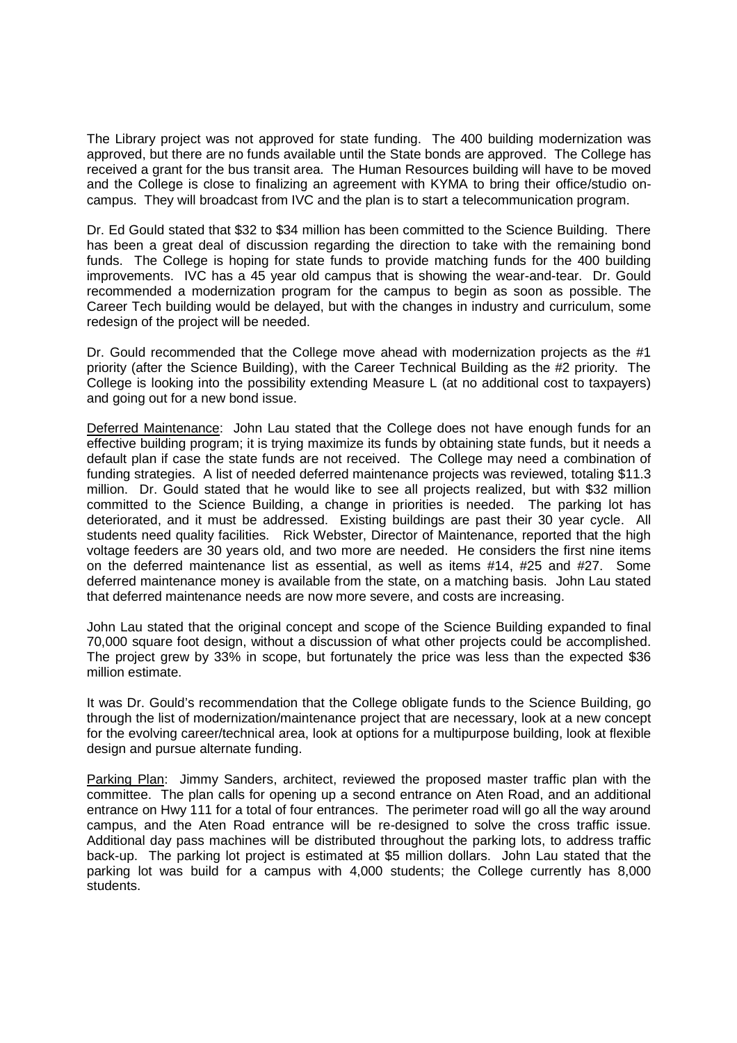The Library project was not approved for state funding. The 400 building modernization was approved, but there are no funds available until the State bonds are approved. The College has received a grant for the bus transit area. The Human Resources building will have to be moved and the College is close to finalizing an agreement with KYMA to bring their office/studio oncampus. They will broadcast from IVC and the plan is to start a telecommunication program.

Dr. Ed Gould stated that \$32 to \$34 million has been committed to the Science Building. There has been a great deal of discussion regarding the direction to take with the remaining bond funds. The College is hoping for state funds to provide matching funds for the 400 building improvements. IVC has a 45 year old campus that is showing the wear-and-tear. Dr. Gould recommended a modernization program for the campus to begin as soon as possible. The Career Tech building would be delayed, but with the changes in industry and curriculum, some redesign of the project will be needed.

Dr. Gould recommended that the College move ahead with modernization projects as the #1 priority (after the Science Building), with the Career Technical Building as the #2 priority. The College is looking into the possibility extending Measure L (at no additional cost to taxpayers) and going out for a new bond issue.

Deferred Maintenance: John Lau stated that the College does not have enough funds for an effective building program; it is trying maximize its funds by obtaining state funds, but it needs a default plan if case the state funds are not received. The College may need a combination of funding strategies. A list of needed deferred maintenance projects was reviewed, totaling \$11.3 million. Dr. Gould stated that he would like to see all projects realized, but with \$32 million committed to the Science Building, a change in priorities is needed. The parking lot has deteriorated, and it must be addressed. Existing buildings are past their 30 year cycle. All students need quality facilities. Rick Webster, Director of Maintenance, reported that the high voltage feeders are 30 years old, and two more are needed. He considers the first nine items on the deferred maintenance list as essential, as well as items #14, #25 and #27. Some deferred maintenance money is available from the state, on a matching basis. John Lau stated that deferred maintenance needs are now more severe, and costs are increasing.

John Lau stated that the original concept and scope of the Science Building expanded to final 70,000 square foot design, without a discussion of what other projects could be accomplished. The project grew by 33% in scope, but fortunately the price was less than the expected \$36 million estimate.

It was Dr. Gould's recommendation that the College obligate funds to the Science Building, go through the list of modernization/maintenance project that are necessary, look at a new concept for the evolving career/technical area, look at options for a multipurpose building, look at flexible design and pursue alternate funding.

Parking Plan: Jimmy Sanders, architect, reviewed the proposed master traffic plan with the committee. The plan calls for opening up a second entrance on Aten Road, and an additional entrance on Hwy 111 for a total of four entrances. The perimeter road will go all the way around campus, and the Aten Road entrance will be re-designed to solve the cross traffic issue. Additional day pass machines will be distributed throughout the parking lots, to address traffic back-up. The parking lot project is estimated at \$5 million dollars. John Lau stated that the parking lot was build for a campus with 4,000 students; the College currently has 8,000 students.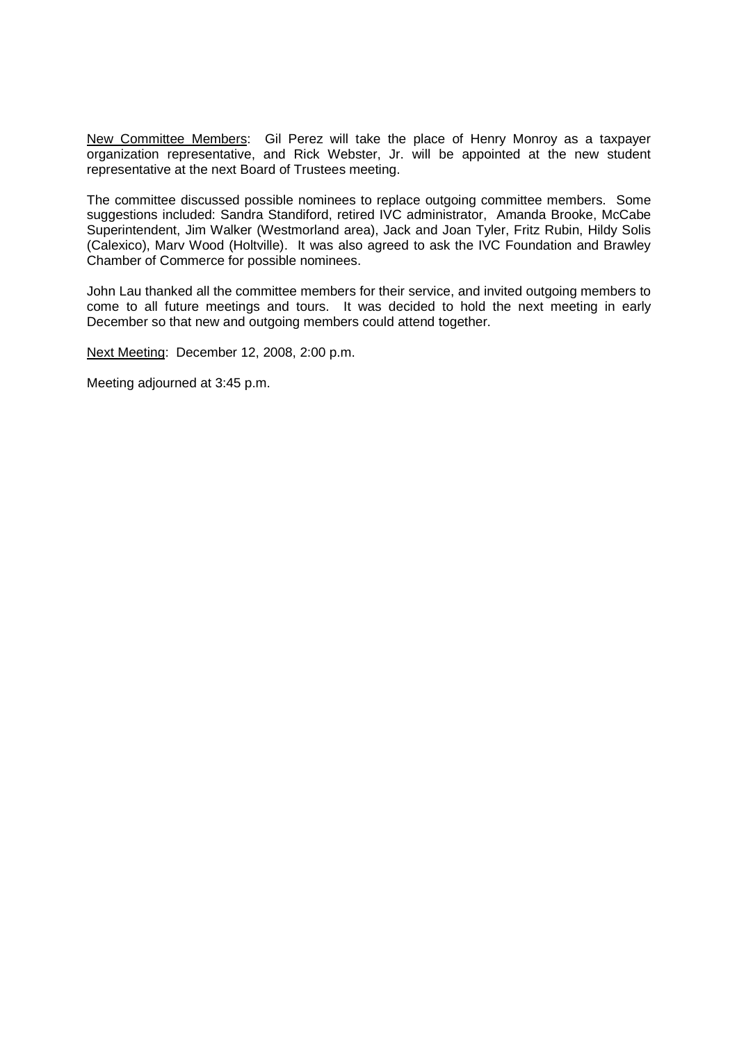New Committee Members: Gil Perez will take the place of Henry Monroy as a taxpayer organization representative, and Rick Webster, Jr. will be appointed at the new student representative at the next Board of Trustees meeting.

The committee discussed possible nominees to replace outgoing committee members. Some suggestions included: Sandra Standiford, retired IVC administrator, Amanda Brooke, McCabe Superintendent, Jim Walker (Westmorland area), Jack and Joan Tyler, Fritz Rubin, Hildy Solis (Calexico), Marv Wood (Holtville). It was also agreed to ask the IVC Foundation and Brawley Chamber of Commerce for possible nominees.

John Lau thanked all the committee members for their service, and invited outgoing members to come to all future meetings and tours. It was decided to hold the next meeting in early December so that new and outgoing members could attend together.

Next Meeting: December 12, 2008, 2:00 p.m.

Meeting adjourned at 3:45 p.m.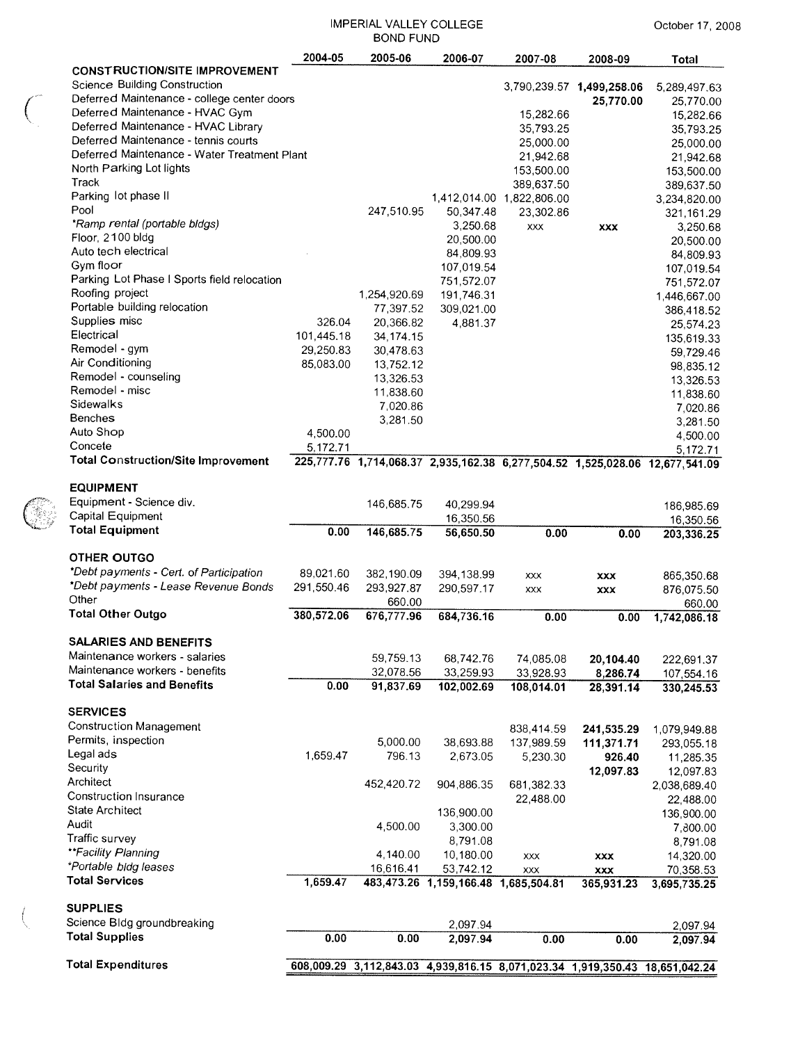$\binom{2}{x}$ 

 $\big($ 

|                                                                              | 2004-05    | 2005-06      | 2006-07                              | 2007-08                   | 2008-09                                                                      | <b>Total</b> |
|------------------------------------------------------------------------------|------------|--------------|--------------------------------------|---------------------------|------------------------------------------------------------------------------|--------------|
| <b>CONSTRUCTION/SITE IMPROVEMENT</b>                                         |            |              |                                      |                           |                                                                              |              |
| Science Building Construction<br>Deferred Maintenance - college center doors |            |              |                                      |                           | 3,790,239.57 1,499,258.06                                                    | 5,289,497.63 |
| Deferred Maintenance - HVAC Gym                                              |            |              |                                      |                           | 25,770.00                                                                    | 25,770.00    |
| Deferred Maintenance - HVAC Library                                          |            |              |                                      | 15,282.66                 |                                                                              | 15,282.66    |
| Deferred Maintenance - tennis courts                                         |            |              |                                      | 35,793.25                 |                                                                              | 35,793.25    |
| Deferred Maintenance - Water Treatment Plant                                 |            |              |                                      | 25,000.00                 |                                                                              | 25,000.00    |
| North Parking Lot lights                                                     |            |              |                                      | 21,942.68                 |                                                                              | 21,942.68    |
| Track                                                                        |            |              |                                      | 153,500.00                |                                                                              | 153,500.00   |
| Parking lot phase II                                                         |            |              |                                      | 389,637.50                |                                                                              | 389,637.50   |
| Pool                                                                         |            |              |                                      | 1,412,014.00 1,822,806.00 |                                                                              | 3,234,820.00 |
| *Ramp rental (portable bidgs)                                                |            | 247,510.95   | 50,347.48                            | 23,302.86                 |                                                                              | 321,161.29   |
| Floor, 2100 bldg                                                             |            |              | 3,250.68                             | <b>XXX</b>                | XXX                                                                          | 3,250.68     |
| Auto tech electrical                                                         |            |              | 20,500.00<br>84,809.93               |                           |                                                                              | 20,500.00    |
| Gym floor                                                                    |            |              | 107,019.54                           |                           |                                                                              | 84,809.93    |
| Parking Lot Phase I Sports field relocation                                  |            |              | 751,572.07                           |                           |                                                                              | 107,019.54   |
| Roofing project                                                              |            | 1,254,920.69 |                                      |                           |                                                                              | 751,572.07   |
| Portable building relocation                                                 |            | 77,397.52    | 191,746.31                           |                           |                                                                              | 1,446,667.00 |
| Supplies misc                                                                | 326.04     | 20,366.82    | 309,021.00                           |                           |                                                                              | 386,418.52   |
| Electrical                                                                   | 101,445.18 |              | 4,881.37                             |                           |                                                                              | 25,574.23    |
| Remodel - gym                                                                | 29,250.83  | 34, 174. 15  |                                      |                           |                                                                              | 135,619.33   |
| Air Conditioning                                                             | 85,083.00  | 30,478.63    |                                      |                           |                                                                              | 59.729.46    |
| Remodel - counseling                                                         |            | 13,752.12    |                                      |                           |                                                                              | 98,835.12    |
| Remodel - misc                                                               |            | 13,326.53    |                                      |                           |                                                                              | 13,326.53    |
| Sidewalks                                                                    |            | 11,838.60    |                                      |                           |                                                                              | 11,838.60    |
| <b>Benches</b>                                                               |            | 7,020.86     |                                      |                           |                                                                              | 7,020.86     |
| Auto Shop                                                                    |            | 3,281.50     |                                      |                           |                                                                              | 3,281.50     |
| Concete                                                                      | 4,500.00   |              |                                      |                           |                                                                              | 4,500.00     |
| <b>Total Construction/Site Improvement</b>                                   | 5,172.71   |              |                                      |                           | 225,777.76 1,714,068.37 2,935,162.38 6,277,504.52 1,525,028.06 12,677,541.09 | 5,172.71     |
| <b>EQUIPMENT</b><br>Equipment - Science div.                                 |            |              |                                      |                           |                                                                              |              |
| Capital Equipment                                                            |            | 146,685.75   | 40,299.94                            |                           |                                                                              | 186,985.69   |
| <b>Total Equipment</b>                                                       |            |              | 16,350.56                            |                           |                                                                              | 16,350.56    |
|                                                                              | 0.00       | 146,685.75   | 56,650.50                            | 0.00                      | 0.00                                                                         | 203,336.25   |
| <b>OTHER OUTGO</b>                                                           |            |              |                                      |                           |                                                                              |              |
| *Debt payments - Cert. of Participation                                      | 89,021.60  | 382,190.09   | 394,138.99                           | <b>XXX</b>                | <b>XXX</b>                                                                   | 865,350.68   |
| *Debt payments - Lease Revenue Bonds                                         | 291,550.46 | 293,927.87   | 290,597.17                           | <b>XXX</b>                | <b>XXX</b>                                                                   | 876,075.50   |
| Other                                                                        |            | 660.00       |                                      |                           |                                                                              | 660.00       |
| <b>Total Other Outgo</b>                                                     | 380,572.06 | 676,777.96   | 684,736.16                           | 0.00                      | 0.00                                                                         | 1,742,086.18 |
| <b>SALARIES AND BENEFITS</b>                                                 |            |              |                                      |                           |                                                                              |              |
| Maintenance workers - salaries                                               |            | 59,759.13    | 68,742.76                            | 74,085.08                 | 20,104.40                                                                    | 222,691.37   |
| Maintenance workers - benefits                                               |            | 32,078.56    | 33,259.93                            | 33,928.93                 | 8,286.74                                                                     | 107,554.16   |
| <b>Total Salaries and Benefits</b>                                           | 0.00       | 91,837.69    | 102,002.69                           | 108,014.01                | 28,391.14                                                                    | 330,245.53   |
| <b>SERVICES</b>                                                              |            |              |                                      |                           |                                                                              |              |
| <b>Construction Management</b>                                               |            |              |                                      | 838,414.59                | 241,535.29                                                                   | 1,079,949.88 |
| Permits, inspection                                                          |            | 5,000.00     | 38,693.88                            | 137,989.59                | 111,371.71                                                                   | 293.055.18   |
| Legal ads                                                                    | 1,659.47   | 796.13       | 2,673.05                             | 5,230.30                  | 926.40                                                                       | 11,285.35    |
| Security                                                                     |            |              |                                      |                           | 12,097.83                                                                    | 12,097.83    |
| Architect                                                                    |            | 452,420.72   | 904,886.35                           | 681,382.33                |                                                                              | 2,038,689.40 |
| <b>Construction Insurance</b>                                                |            |              |                                      | 22,488.00                 |                                                                              | 22,488.00    |
| <b>State Architect</b>                                                       |            |              | 136,900.00                           |                           |                                                                              | 136,900.00   |
| Audit                                                                        |            | 4,500.00     | 3,300.00                             |                           |                                                                              | 7,800.00     |
| Traffic survey                                                               |            |              | 8,791.08                             |                           |                                                                              | 8,791.08     |
| **Facility Planning                                                          |            | 4,140.00     | 10,180.00                            | <b>XXX</b>                | <b>XXX</b>                                                                   | 14,320.00    |
| *Portable bidg leases                                                        |            | 16,616.41    | 53,742.12                            | <b>XXX</b>                | XXX                                                                          | 70,358.53    |
| <b>Total Services</b>                                                        | 1,659.47   |              | 483,473.26 1,159,166.48 1,685,504.81 |                           | 365,931.23                                                                   | 3,695,735.25 |
| <b>SUPPLIES</b>                                                              |            |              |                                      |                           |                                                                              |              |
| Science Bldg groundbreaking                                                  |            |              | 2,097.94                             |                           |                                                                              | 2,097.94     |
| <b>Total Supplies</b>                                                        | 0.00       | 0.00         | 2,097.94                             | 0.00                      | 0.00                                                                         | 2,097.94     |
| <b>Total Expenditures</b>                                                    |            |              |                                      |                           | 608,009.29 3,112,843.03 4,939,816.15 8,071,023.34 1,919,350.43 18,651,042.24 |              |
|                                                                              |            |              |                                      |                           |                                                                              |              |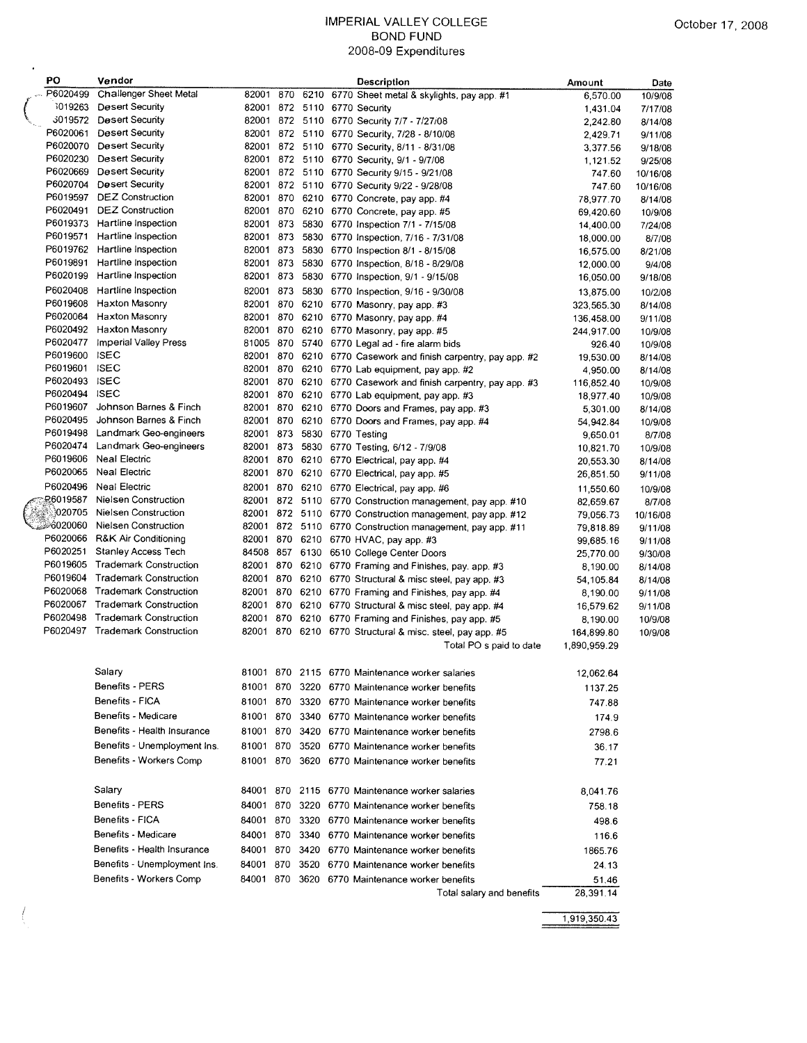#### IMPERIAL VALLEY COLLEGE **BOND FUND** 2008-09 Expenditures

 $\bullet$ 

 $\left(\begin{smallmatrix} 1 & 0 & 0 \\ 0 & 0 & 0 \\ 0 & 0 & 0 \\ 0 & 0 & 0 \\ 0 & 0 & 0 \\ 0 & 0 & 0 \\ 0 & 0 & 0 \\ 0 & 0 & 0 \\ 0 & 0 & 0 \\ 0 & 0 & 0 & 0 \\ 0 & 0 & 0 & 0 \\ 0 & 0 & 0 & 0 \\ 0 & 0 & 0 & 0 \\ 0 & 0 & 0 & 0 & 0 \\ 0 & 0 & 0 & 0 & 0 \\ 0 & 0 & 0 & 0 & 0 \\ 0 & 0 & 0 & 0 & 0 \\ 0 & 0 & 0 & 0 & 0 & 0 \\ 0 & 0$ 

| PO                   | Vendor                                                  |                |     |                | <b>Description</b>                                                                                 | Amount                     | Date               |
|----------------------|---------------------------------------------------------|----------------|-----|----------------|----------------------------------------------------------------------------------------------------|----------------------------|--------------------|
| P6020499             | Challenger Sheet Metal                                  | 82001          |     | 870 6210       | 6770 Sheet metal & skylights, pay app. #1                                                          | 6,570.00                   | 10/9/08            |
| 1019263              | Desert Security                                         |                |     |                | 82001 872 5110 6770 Security                                                                       | 1,431.04                   | 7/17/08            |
|                      | 3019572 Desert Security                                 |                |     |                | 82001 872 5110 6770 Security 7/7 - 7/27/08                                                         | 2,242.80                   | 8/14/08            |
| P6020061             | <b>Desert Security</b>                                  | 82001          |     |                | 872 5110 6770 Security, 7/28 - 8/10/08                                                             | 2,429.71                   | 9/11/08            |
| P6020070             | Desert Security                                         |                |     |                | 82001 872 5110 6770 Security, 8/11 - 8/31/08                                                       | 3,377.56                   | 9/18/08            |
| P6020230             | <b>Desert Security</b>                                  |                |     |                | 82001 872 5110 6770 Security, 9/1 - 9/7/08                                                         | 1,121.52                   | 9/25/08            |
| P6020669             | <b>Desert Security</b>                                  |                |     |                | 82001 872 5110 6770 Security 9/15 - 9/21/08                                                        | 747.60                     | 10/16/08           |
| P6020704             | Desert Security<br>P6019597 DEZ Construction            |                |     |                | 82001 872 5110 6770 Security 9/22 - 9/28/08                                                        | 747.60                     | 10/16/08           |
| P6020491             | DEZ Construction                                        |                |     |                | 82001 870 6210 6770 Concrete, pay app. #4<br>82001 870 6210 6770 Concrete, pay app. #5             | 78,977.70                  | 8/14/08            |
| P6019373             | Hartline Inspection                                     |                |     |                | 82001 873 5830 6770 Inspection 7/1 - 7/15/08                                                       | 69,420.60                  | 10/9/08            |
| P6019571             | Hartline Inspection                                     |                |     |                | 82001 873 5830 6770 Inspection, 7/16 - 7/31/08                                                     | 14,400.00<br>18,000.00     | 7/24/08<br>8/7/08  |
| P6019762             | Hartline Inspection                                     |                |     |                | 82001 873 5830 6770 Inspection 8/1 - 8/15/08                                                       | 16,575.00                  | 8/21/08            |
| P6019891             | Hartline Inspection                                     |                |     |                | 82001 873 5830 6770 Inspection, 8/18 - 8/29/08                                                     | 12,000.00                  | 9/4/08             |
| P6020199             | Hartline Inspection                                     |                |     | 82001 873 5830 | 6770 Inspection, 9/1 - 9/15/08                                                                     | 16,050.00                  | 9/18/08            |
| P6020408             | Hartline Inspection                                     | 82001 873      |     | 5830           | 6770 Inspection, 9/16 - 9/30/08                                                                    | 13,875.00                  | 10/2/08            |
| P6019608             | Haxton Masonry                                          |                |     | 82001 870 6210 | 6770 Masonry, pay app. #3                                                                          | 323,565.30                 | 8/14/08            |
| P6020064             | Haxton Masonry                                          | 82001 870      |     |                | 6210 6770 Masonry, pay app. #4                                                                     | 136,458.00                 | 9/11/08            |
| P6020492             | Haxton Masonry                                          | 82001 870      |     |                | 6210 6770 Masonry, pay app. #5                                                                     | 244,917.00                 | 10/9/08            |
| P6020477             | Imperial Valley Press                                   |                |     |                | 81005 870 5740 6770 Legal ad - fire alarm bids                                                     | 926.40                     | 10/9/08            |
| P6019600             | <b>ISEC</b>                                             |                |     |                | 82001 870 6210 6770 Casework and finish carpentry, pay app. #2                                     | 19,530.00                  | 8/14/08            |
| P6019601             | <b>ISEC</b>                                             |                |     |                | 82001 870 6210 6770 Lab equipment, pay app. #2                                                     | 4.950.00                   | 8/14/08            |
| P6020493             | <b>ISEC</b>                                             | 82001 870      |     |                | 6210 6770 Casework and finish carpentry, pay app. #3                                               | 116,852.40                 | 10/9/08            |
| P6020494             | <b>ISEC</b>                                             |                |     |                | 82001 870 6210 6770 Lab equipment, pay app. #3                                                     | 18,977.40                  | 10/9/08            |
| P6019607             | Johnson Barnes & Finch                                  |                |     |                | 82001 870 6210 6770 Doors and Frames, pay app. #3                                                  | 5,301.00                   | 8/14/08            |
| P6020495<br>P6019498 | Johnson Barnes & Finch<br>Landmark Geo-engineers        |                |     |                | 82001 870 6210 6770 Doors and Frames, pay app. #4<br>82001 873 5830 6770 Testing                   | 54,942.84                  | 10/9/08            |
| P6020474             | Landmark Geo-engineers                                  |                |     |                | 82001 873 5830 6770 Testing, 6/12 - 7/9/08                                                         | 9,650.01                   | 8/7/08             |
| P6019606             | Neal Electric                                           | 82001          |     |                | 870 6210 6770 Electrical, pay app. #4                                                              | 10,821.70<br>20,553.30     | 10/9/08<br>8/14/08 |
| P6020065             | Neal Electric                                           | 82001          | 870 |                | 6210 6770 Electrical, pay app. #5                                                                  | 26,851.50                  | 9/11/08            |
| P6020496             | Neal Electric                                           | 82001          |     |                | 870 6210 6770 Electrical, pay app. #6                                                              | 11,550.60                  | 10/9/08            |
| 26019587             | <b>Nielsen Construction</b>                             | 82001          | 872 | 5110           | 6770 Construction management, pay app. #10                                                         | 82,659.67                  | 8/7/08             |
| 020705               | Nielsen Construction                                    | 82001          |     |                | 872 5110 6770 Construction management, pay app. #12                                                | 79,056.73                  | 10/16/08           |
| -6020060             | Nielsen Construction                                    |                |     |                | 82001 872 5110 6770 Construction management, pay app. #11                                          | 79,818.89                  | 9/11/08            |
| P6020066             | R&K Air Conditioning                                    | 82001          |     |                | 870 6210 6770 HVAC, pay app. #3                                                                    | 99,685.16                  | 9/11/08            |
| P6020251             | <b>Stanley Access Tech</b>                              |                |     |                | 84508 857 6130 6510 College Center Doors                                                           | 25,770.00                  | 9/30/08            |
| P6019605             | <b>Trademark Construction</b>                           | 82001 870      |     |                | 6210 6770 Framing and Finishes, pay. app. #3                                                       | 8,190.00                   | 8/14/08            |
| P6019604             | <b>Trademark Construction</b>                           | 82001          | 870 |                | 6210 6770 Structural & misc steel, pay app. #3                                                     | 54,105.84                  | 8/14/08            |
|                      | P6020068 Trademark Construction                         | 82001          | 870 |                | 6210 6770 Framing and Finishes, pay app. #4                                                        | 8,190.00                   | 9/11/08            |
| P6020498             | P6020067 Trademark Construction                         | 82001          | 870 |                | 6210 6770 Structural & misc steel, pay app. #4                                                     | 16,579.62                  | 9/11/08            |
| P6020497             | Trademark Construction<br><b>Trademark Construction</b> | 82001<br>82001 | 870 |                | 870 6210 6770 Framing and Finishes, pay app. #5<br>6210 6770 Structural & misc. steel, pay app. #5 | 8,190.00                   | 10/9/08            |
|                      |                                                         |                |     |                | Total PO s paid to date                                                                            | 164,899.80<br>1,890,959.29 | 10/9/08            |
|                      |                                                         |                |     |                |                                                                                                    |                            |                    |
|                      | Salary                                                  | 81001 870      |     |                | 2115 6770 Maintenance worker salanes                                                               | 12,062.64                  |                    |
|                      | <b>Benefits - PERS</b>                                  | 81001          | 870 |                | 3220 6770 Maintenance worker benefits                                                              | 1137.25                    |                    |
|                      | Benefits - FICA                                         | 81001          | 870 | 3320           | 6770 Maintenance worker benefits                                                                   | 747.88                     |                    |
|                      | Benefits - Medicare                                     | 81001          | 870 |                | 3340 6770 Maintenance worker benefits                                                              | 174.9                      |                    |
|                      | Benefits - Health Insurance                             | 81001          | 870 |                | 3420 6770 Maintenance worker benefits                                                              | 2798.6                     |                    |
|                      | Benefits - Unemployment Ins.                            | 81001          | 870 |                | 3520 6770 Maintenance worker benefits                                                              | 36.17                      |                    |
|                      | Benefits - Workers Comp                                 | 81001          | 870 |                | 3620 6770 Maintenance worker benefits                                                              | 77.21                      |                    |
|                      |                                                         |                |     |                |                                                                                                    |                            |                    |
|                      | Salary                                                  | 84001          | 870 |                | 2115 6770 Maintenance worker salaries                                                              | 8,041.76                   |                    |
|                      | Benefits - PERS                                         | 84001          | 870 |                | 3220 6770 Maintenance worker benefits                                                              | 758.18                     |                    |
|                      | Benefits - FICA                                         | 84001          | 870 | 3320           | 6770 Maintenance worker benefits                                                                   | 498.6                      |                    |
|                      | Benefits - Medicare                                     | 84001          | 870 |                | 3340 6770 Maintenance worker benefits                                                              | 116.6                      |                    |
|                      | Benefits - Health Insurance                             | 84001          | 870 |                | 3420 6770 Maintenance worker benefits                                                              | 1865.76                    |                    |
|                      | Benefits - Unemployment Ins.                            | 84001          | 870 | 3520           | 6770 Maintenance worker benefits                                                                   | 24.13                      |                    |
|                      | Benefits - Workers Comp                                 | 84001          | 870 |                | 3620 6770 Maintenance worker benefits                                                              | 51.46                      |                    |
|                      |                                                         |                |     |                | Total salary and benefits                                                                          | 28,391.14                  |                    |

1,919,350.43